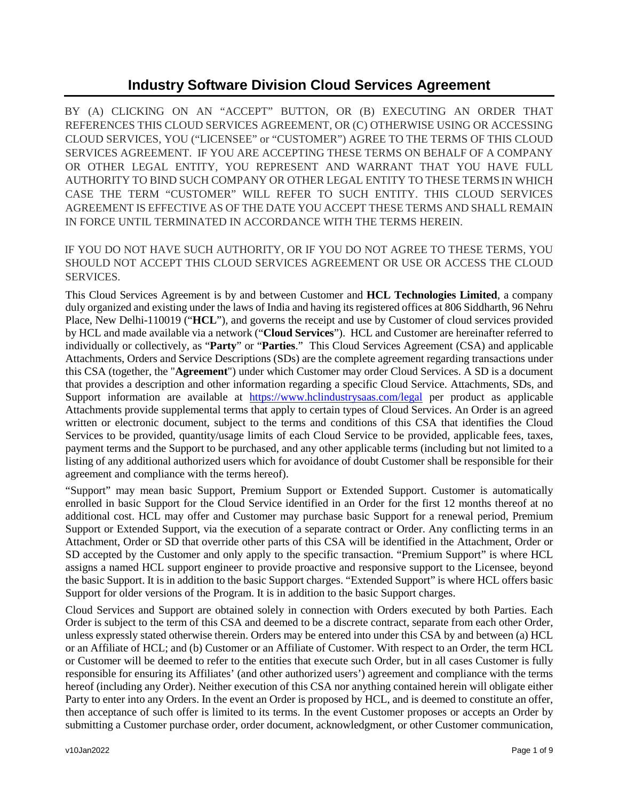# **Industry Software Division Cloud Services Agreement**

BY (A) CLICKING ON AN "ACCEPT" BUTTON, OR (B) EXECUTING AN ORDER THAT REFERENCES THIS CLOUD SERVICES AGREEMENT, OR (C) OTHERWISE USING OR ACCESSING CLOUD SERVICES, YOU ("LICENSEE" or "CUSTOMER") AGREE TO THE TERMS OF THIS CLOUD SERVICES AGREEMENT. IF YOU ARE ACCEPTING THESE TERMS ON BEHALF OF A COMPANY OR OTHER LEGAL ENTITY, YOU REPRESENT AND WARRANT THAT YOU HAVE FULL AUTHORITY TO BIND SUCH COMPANY OR OTHER LEGAL ENTITY TO THESE TERMSIN WHICH CASE THE TERM "CUSTOMER" WILL REFER TO SUCH ENTITY. THIS CLOUD SERVICES AGREEMENT IS EFFECTIVE AS OF THE DATE YOU ACCEPT THESE TERMS AND SHALL REMAIN IN FORCE UNTIL TERMINATED IN ACCORDANCE WITH THE TERMS HEREIN.

IF YOU DO NOT HAVE SUCH AUTHORITY, OR IF YOU DO NOT AGREE TO THESE TERMS, YOU SHOULD NOT ACCEPT THIS CLOUD SERVICES AGREEMENT OR USE OR ACCESS THE CLOUD SERVICES.

This Cloud Services Agreement is by and between Customer and **HCL Technologies Limited**, a company duly organized and existing under the laws of India and having its registered offices at 806 Siddharth, 96 Nehru Place, New Delhi-110019 ("**HCL**"), and governs the receipt and use by Customer of cloud services provided by HCL and made available via a network ("**Cloud Services**"). HCL and Customer are hereinafter referred to individually or collectively, as "**Party**" or "**Parties**." This Cloud Services Agreement (CSA) and applicable Attachments, Orders and Service Descriptions (SDs) are the complete agreement regarding transactions under this CSA (together, the "**Agreement**") under which Customer may order Cloud Services. A SD is a document that provides a description and other information regarding a specific Cloud Service. Attachments, SDs, and Support information are available at <https://www.hclindustrysaas.com/legal> per product as applicable Attachments provide supplemental terms that apply to certain types of Cloud Services. An Order is an agreed written or electronic document, subject to the terms and conditions of this CSA that identifies the Cloud Services to be provided, quantity/usage limits of each Cloud Service to be provided, applicable fees, taxes, payment terms and the Support to be purchased, and any other applicable terms (including but not limited to a listing of any additional authorized users which for avoidance of doubt Customer shall be responsible for their agreement and compliance with the terms hereof).

"Support" may mean basic Support, Premium Support or Extended Support. Customer is automatically enrolled in basic Support for the Cloud Service identified in an Order for the first 12 months thereof at no additional cost. HCL may offer and Customer may purchase basic Support for a renewal period, Premium Support or Extended Support, via the execution of a separate contract or Order. Any conflicting terms in an Attachment, Order or SD that override other parts of this CSA will be identified in the Attachment, Order or SD accepted by the Customer and only apply to the specific transaction. "Premium Support" is where HCL assigns a named HCL support engineer to provide proactive and responsive support to the Licensee, beyond the basic Support. It is in addition to the basic Support charges. "Extended Support" is where HCL offers basic Support for older versions of the Program. It is in addition to the basic Support charges.

Cloud Services and Support are obtained solely in connection with Orders executed by both Parties. Each Order is subject to the term of this CSA and deemed to be a discrete contract, separate from each other Order, unless expressly stated otherwise therein. Orders may be entered into under this CSA by and between (a) HCL or an Affiliate of HCL; and (b) Customer or an Affiliate of Customer. With respect to an Order, the term HCL or Customer will be deemed to refer to the entities that execute such Order, but in all cases Customer is fully responsible for ensuring its Affiliates' (and other authorized users') agreement and compliance with the terms hereof (including any Order). Neither execution of this CSA nor anything contained herein will obligate either Party to enter into any Orders. In the event an Order is proposed by HCL, and is deemed to constitute an offer, then acceptance of such offer is limited to its terms. In the event Customer proposes or accepts an Order by submitting a Customer purchase order, order document, acknowledgment, or other Customer communication,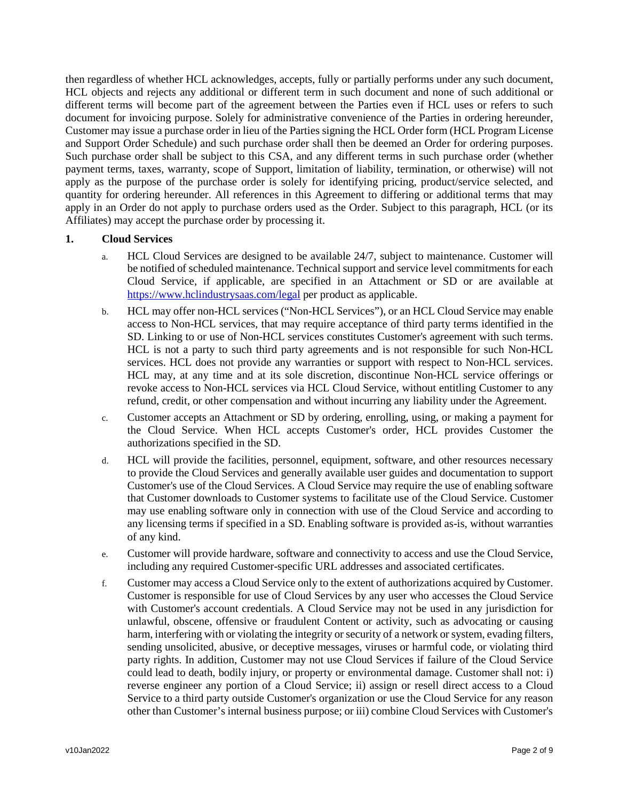then regardless of whether HCL acknowledges, accepts, fully or partially performs under any such document, HCL objects and rejects any additional or different term in such document and none of such additional or different terms will become part of the agreement between the Parties even if HCL uses or refers to such document for invoicing purpose. Solely for administrative convenience of the Parties in ordering hereunder, Customer may issue a purchase order in lieu of the Parties signing the HCL Order form (HCL Program License and Support Order Schedule) and such purchase order shall then be deemed an Order for ordering purposes. Such purchase order shall be subject to this CSA, and any different terms in such purchase order (whether payment terms, taxes, warranty, scope of Support, limitation of liability, termination, or otherwise) will not apply as the purpose of the purchase order is solely for identifying pricing, product/service selected, and quantity for ordering hereunder. All references in this Agreement to differing or additional terms that may apply in an Order do not apply to purchase orders used as the Order. Subject to this paragraph, HCL (or its Affiliates) may accept the purchase order by processing it.

## **1. Cloud Services**

- a. HCL Cloud Services are designed to be available 24/7, subject to maintenance. Customer will be notified of scheduled maintenance. Technical support and service level commitments for each Cloud Service, if applicable, are specified in an Attachment or SD or are available at <https://www.hclindustrysaas.com/legal> per product as applicable.
- b. HCL may offer non-HCL services ("Non-HCL Services"), or an HCL Cloud Service may enable access to Non-HCL services, that may require acceptance of third party terms identified in the SD. Linking to or use of Non-HCL services constitutes Customer's agreement with such terms. HCL is not a party to such third party agreements and is not responsible for such Non-HCL services. HCL does not provide any warranties or support with respect to Non-HCL services. HCL may, at any time and at its sole discretion, discontinue Non-HCL service offerings or revoke access to Non-HCL services via HCL Cloud Service, without entitling Customer to any refund, credit, or other compensation and without incurring any liability under the Agreement.
- c. Customer accepts an Attachment or SD by ordering, enrolling, using, or making a payment for the Cloud Service. When HCL accepts Customer's order, HCL provides Customer the authorizations specified in the SD.
- d. HCL will provide the facilities, personnel, equipment, software, and other resources necessary to provide the Cloud Services and generally available user guides and documentation to support Customer's use of the Cloud Services. A Cloud Service may require the use of enabling software that Customer downloads to Customer systems to facilitate use of the Cloud Service. Customer may use enabling software only in connection with use of the Cloud Service and according to any licensing terms if specified in a SD. Enabling software is provided as-is, without warranties of any kind.
- e. Customer will provide hardware, software and connectivity to access and use the Cloud Service, including any required Customer-specific URL addresses and associated certificates.
- f. Customer may access a Cloud Service only to the extent of authorizations acquired by Customer. Customer is responsible for use of Cloud Services by any user who accesses the Cloud Service with Customer's account credentials. A Cloud Service may not be used in any jurisdiction for unlawful, obscene, offensive or fraudulent Content or activity, such as advocating or causing harm, interfering with or violating the integrity or security of a network or system, evading filters, sending unsolicited, abusive, or deceptive messages, viruses or harmful code, or violating third party rights. In addition, Customer may not use Cloud Services if failure of the Cloud Service could lead to death, bodily injury, or property or environmental damage. Customer shall not: i) reverse engineer any portion of a Cloud Service; ii) assign or resell direct access to a Cloud Service to a third party outside Customer's organization or use the Cloud Service for any reason other than Customer's internal business purpose; or iii) combine Cloud Services with Customer's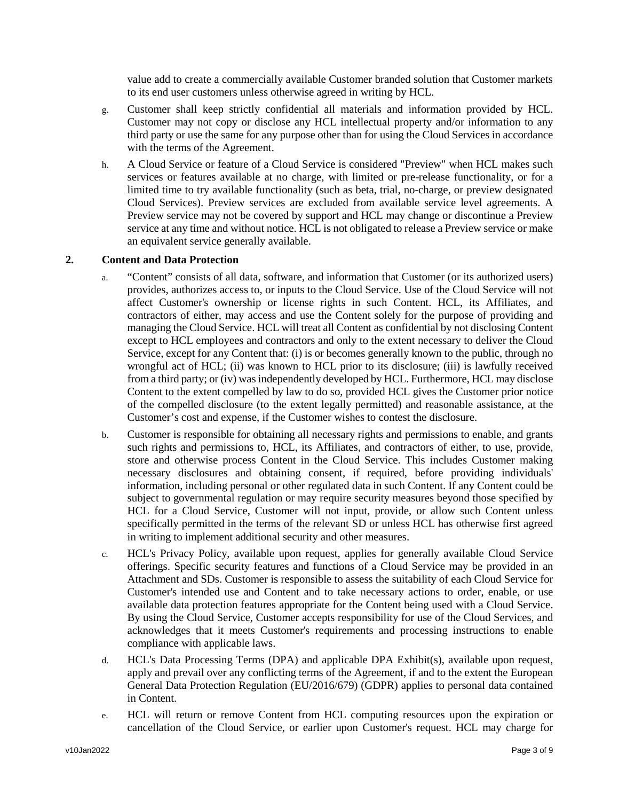value add to create a commercially available Customer branded solution that Customer markets to its end user customers unless otherwise agreed in writing by HCL.

- g. Customer shall keep strictly confidential all materials and information provided by HCL. Customer may not copy or disclose any HCL intellectual property and/or information to any third party or use the same for any purpose other than for using the Cloud Services in accordance with the terms of the Agreement.
- h. A Cloud Service or feature of a Cloud Service is considered "Preview" when HCL makes such services or features available at no charge, with limited or pre-release functionality, or for a limited time to try available functionality (such as beta, trial, no-charge, or preview designated Cloud Services). Preview services are excluded from available service level agreements. A Preview service may not be covered by support and HCL may change or discontinue a Preview service at any time and without notice. HCL is not obligated to release a Preview service or make an equivalent service generally available.

#### **2. Content and Data Protection**

- a. "Content" consists of all data, software, and information that Customer (or its authorized users) provides, authorizes access to, or inputs to the Cloud Service. Use of the Cloud Service will not affect Customer's ownership or license rights in such Content. HCL, its Affiliates, and contractors of either, may access and use the Content solely for the purpose of providing and managing the Cloud Service. HCL will treat all Content as confidential by not disclosing Content except to HCL employees and contractors and only to the extent necessary to deliver the Cloud Service, except for any Content that: (i) is or becomes generally known to the public, through no wrongful act of HCL; (ii) was known to HCL prior to its disclosure; (iii) is lawfully received from a third party; or (iv) was independently developed by HCL. Furthermore, HCL may disclose Content to the extent compelled by law to do so, provided HCL gives the Customer prior notice of the compelled disclosure (to the extent legally permitted) and reasonable assistance, at the Customer's cost and expense, if the Customer wishes to contest the disclosure.
- b. Customer is responsible for obtaining all necessary rights and permissions to enable, and grants such rights and permissions to, HCL, its Affiliates, and contractors of either, to use, provide, store and otherwise process Content in the Cloud Service. This includes Customer making necessary disclosures and obtaining consent, if required, before providing individuals' information, including personal or other regulated data in such Content. If any Content could be subject to governmental regulation or may require security measures beyond those specified by HCL for a Cloud Service, Customer will not input, provide, or allow such Content unless specifically permitted in the terms of the relevant SD or unless HCL has otherwise first agreed in writing to implement additional security and other measures.
- c. HCL's Privacy Policy, available upon request, applies for generally available Cloud Service offerings. Specific security features and functions of a Cloud Service may be provided in an Attachment and SDs. Customer is responsible to assess the suitability of each Cloud Service for Customer's intended use and Content and to take necessary actions to order, enable, or use available data protection features appropriate for the Content being used with a Cloud Service. By using the Cloud Service, Customer accepts responsibility for use of the Cloud Services, and acknowledges that it meets Customer's requirements and processing instructions to enable compliance with applicable laws.
- d. HCL's Data Processing Terms (DPA) and applicable DPA Exhibit(s), available upon request, apply and prevail over any conflicting terms of the Agreement, if and to the extent the European General Data Protection Regulation (EU/2016/679) (GDPR) applies to personal data contained in Content.
- e. HCL will return or remove Content from HCL computing resources upon the expiration or cancellation of the Cloud Service, or earlier upon Customer's request. HCL may charge for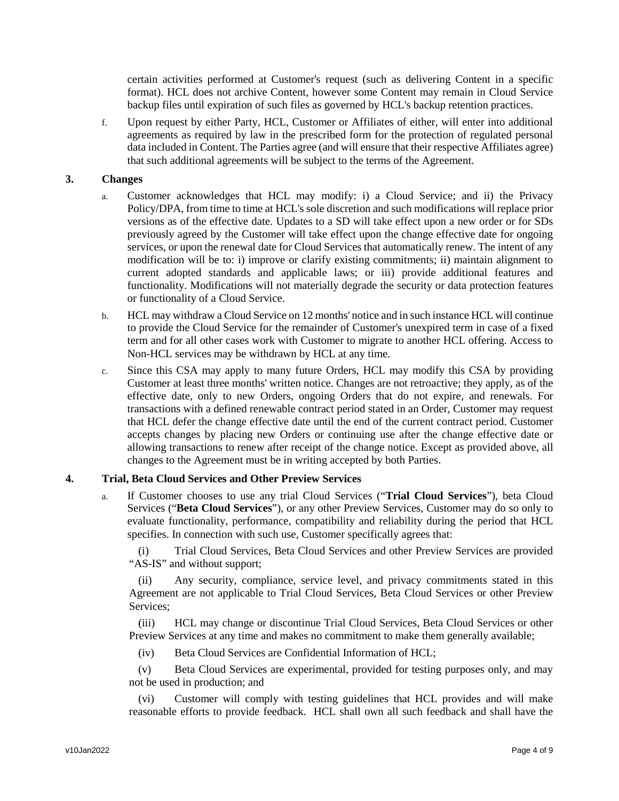certain activities performed at Customer's request (such as delivering Content in a specific format). HCL does not archive Content, however some Content may remain in Cloud Service backup files until expiration of such files as governed by HCL's backup retention practices.

f. Upon request by either Party, HCL, Customer or Affiliates of either, will enter into additional agreements as required by law in the prescribed form for the protection of regulated personal data included in Content. The Parties agree (and will ensure that their respective Affiliates agree) that such additional agreements will be subject to the terms of the Agreement.

### **3. Changes**

- a. Customer acknowledges that HCL may modify: i) a Cloud Service; and ii) the Privacy Policy/DPA, from time to time at HCL's sole discretion and such modifications will replace prior versions as of the effective date. Updates to a SD will take effect upon a new order or for SDs previously agreed by the Customer will take effect upon the change effective date for ongoing services, or upon the renewal date for Cloud Services that automatically renew. The intent of any modification will be to: i) improve or clarify existing commitments; ii) maintain alignment to current adopted standards and applicable laws; or iii) provide additional features and functionality. Modifications will not materially degrade the security or data protection features or functionality of a Cloud Service.
- b. HCL may withdraw a Cloud Service on 12 months' notice and in such instance HCL will continue to provide the Cloud Service for the remainder of Customer's unexpired term in case of a fixed term and for all other cases work with Customer to migrate to another HCL offering. Access to Non-HCL services may be withdrawn by HCL at any time.
- c. Since this CSA may apply to many future Orders, HCL may modify this CSA by providing Customer at least three months' written notice. Changes are not retroactive; they apply, as of the effective date, only to new Orders, ongoing Orders that do not expire, and renewals. For transactions with a defined renewable contract period stated in an Order, Customer may request that HCL defer the change effective date until the end of the current contract period. Customer accepts changes by placing new Orders or continuing use after the change effective date or allowing transactions to renew after receipt of the change notice. Except as provided above, all changes to the Agreement must be in writing accepted by both Parties.

## **4. Trial, Beta Cloud Services and Other Preview Services**

a. If Customer chooses to use any trial Cloud Services ("**Trial Cloud Services**"), beta Cloud Services ("**Beta Cloud Services**"), or any other Preview Services, Customer may do so only to evaluate functionality, performance, compatibility and reliability during the period that HCL specifies. In connection with such use, Customer specifically agrees that:

(i) Trial Cloud Services, Beta Cloud Services and other Preview Services are provided "AS-IS" and without support;

(ii) Any security, compliance, service level, and privacy commitments stated in this Agreement are not applicable to Trial Cloud Services, Beta Cloud Services or other Preview Services;

(iii) HCL may change or discontinue Trial Cloud Services, Beta Cloud Services or other Preview Services at any time and makes no commitment to make them generally available;

(iv) Beta Cloud Services are Confidential Information of HCL;

(v) Beta Cloud Services are experimental, provided for testing purposes only, and may not be used in production; and

(vi) Customer will comply with testing guidelines that HCL provides and will make reasonable efforts to provide feedback. HCL shall own all such feedback and shall have the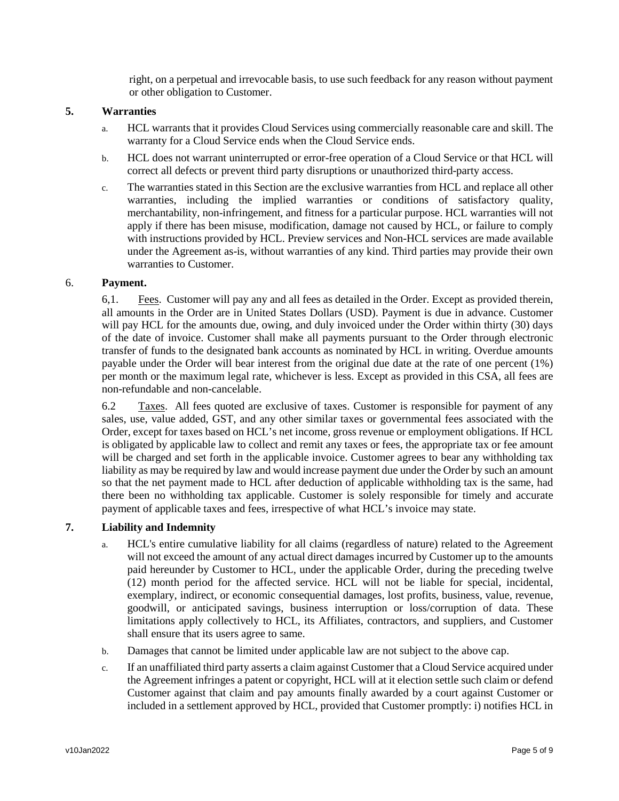right, on a perpetual and irrevocable basis, to use such feedback for any reason without payment or other obligation to Customer.

# **5. Warranties**

- a. HCL warrants that it provides Cloud Services using commercially reasonable care and skill. The warranty for a Cloud Service ends when the Cloud Service ends.
- b. HCL does not warrant uninterrupted or error-free operation of a Cloud Service or that HCL will correct all defects or prevent third party disruptions or unauthorized third-party access.
- c. The warranties stated in this Section are the exclusive warranties from HCL and replace all other warranties, including the implied warranties or conditions of satisfactory quality, merchantability, non-infringement, and fitness for a particular purpose. HCL warranties will not apply if there has been misuse, modification, damage not caused by HCL, or failure to comply with instructions provided by HCL. Preview services and Non-HCL services are made available under the Agreement as-is, without warranties of any kind. Third parties may provide their own warranties to Customer.

# 6. **Payment.**

6,1. Fees. Customer will pay any and all fees as detailed in the Order. Except as provided therein, all amounts in the Order are in United States Dollars (USD). Payment is due in advance. Customer will pay HCL for the amounts due, owing, and duly invoiced under the Order within thirty (30) days of the date of invoice. Customer shall make all payments pursuant to the Order through electronic transfer of funds to the designated bank accounts as nominated by HCL in writing. Overdue amounts payable under the Order will bear interest from the original due date at the rate of one percent (1%) per month or the maximum legal rate, whichever is less. Except as provided in this CSA, all fees are non-refundable and non-cancelable.

6.2 Taxes. All fees quoted are exclusive of taxes. Customer is responsible for payment of any sales, use, value added, GST, and any other similar taxes or governmental fees associated with the Order, except for taxes based on HCL's net income, gross revenue or employment obligations. If HCL is obligated by applicable law to collect and remit any taxes or fees, the appropriate tax or fee amount will be charged and set forth in the applicable invoice. Customer agrees to bear any withholding tax liability as may be required by law and would increase payment due under the Order by such an amount so that the net payment made to HCL after deduction of applicable withholding tax is the same, had there been no withholding tax applicable. Customer is solely responsible for timely and accurate payment of applicable taxes and fees, irrespective of what HCL's invoice may state.

#### **7. Liability and Indemnity**

- a. HCL's entire cumulative liability for all claims (regardless of nature) related to the Agreement will not exceed the amount of any actual direct damages incurred by Customer up to the amounts paid hereunder by Customer to HCL, under the applicable Order, during the preceding twelve (12) month period for the affected service. HCL will not be liable for special, incidental, exemplary, indirect, or economic consequential damages, lost profits, business, value, revenue, goodwill, or anticipated savings, business interruption or loss/corruption of data. These limitations apply collectively to HCL, its Affiliates, contractors, and suppliers, and Customer shall ensure that its users agree to same.
- b. Damages that cannot be limited under applicable law are not subject to the above cap.
- c. If an unaffiliated third party asserts a claim against Customer that a Cloud Service acquired under the Agreement infringes a patent or copyright, HCL will at it election settle such claim or defend Customer against that claim and pay amounts finally awarded by a court against Customer or included in a settlement approved by HCL, provided that Customer promptly: i) notifies HCL in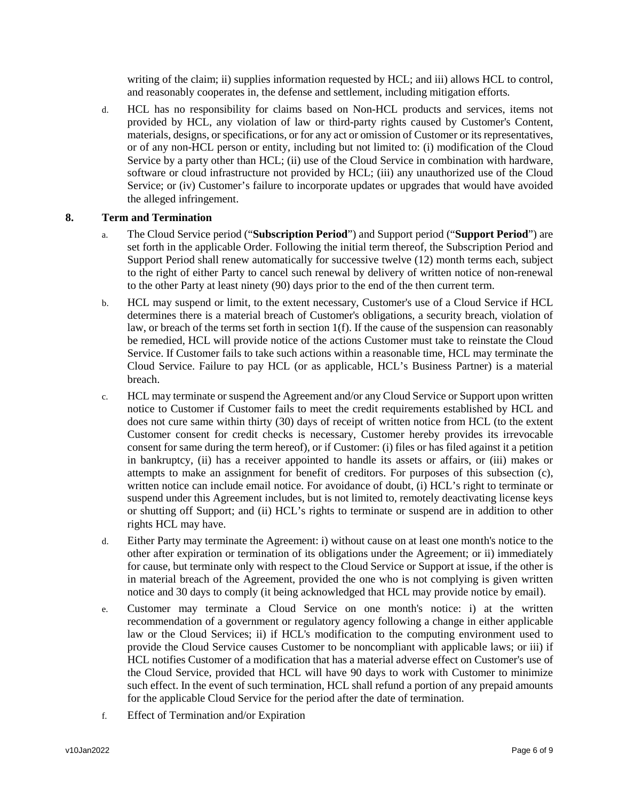writing of the claim; ii) supplies information requested by HCL; and iii) allows HCL to control, and reasonably cooperates in, the defense and settlement, including mitigation efforts.

d. HCL has no responsibility for claims based on Non-HCL products and services, items not provided by HCL, any violation of law or third-party rights caused by Customer's Content, materials, designs, or specifications, or for any act or omission of Customer or its representatives, or of any non-HCL person or entity, including but not limited to: (i) modification of the Cloud Service by a party other than HCL; (ii) use of the Cloud Service in combination with hardware, software or cloud infrastructure not provided by HCL; (iii) any unauthorized use of the Cloud Service; or (iv) Customer's failure to incorporate updates or upgrades that would have avoided the alleged infringement.

## **8. Term and Termination**

- a. The Cloud Service period ("**Subscription Period**") and Support period ("**Support Period**") are set forth in the applicable Order. Following the initial term thereof, the Subscription Period and Support Period shall renew automatically for successive twelve (12) month terms each, subject to the right of either Party to cancel such renewal by delivery of written notice of non-renewal to the other Party at least ninety (90) days prior to the end of the then current term.
- b. HCL may suspend or limit, to the extent necessary, Customer's use of a Cloud Service if HCL determines there is a material breach of Customer's obligations, a security breach, violation of law, or breach of the terms set forth in section  $1(f)$ . If the cause of the suspension can reasonably be remedied, HCL will provide notice of the actions Customer must take to reinstate the Cloud Service. If Customer fails to take such actions within a reasonable time, HCL may terminate the Cloud Service. Failure to pay HCL (or as applicable, HCL's Business Partner) is a material breach.
- c. HCL may terminate or suspend the Agreement and/or any Cloud Service or Support upon written notice to Customer if Customer fails to meet the credit requirements established by HCL and does not cure same within thirty (30) days of receipt of written notice from HCL (to the extent Customer consent for credit checks is necessary, Customer hereby provides its irrevocable consent for same during the term hereof), or if Customer: (i) files or has filed against it a petition in bankruptcy, (ii) has a receiver appointed to handle its assets or affairs, or (iii) makes or attempts to make an assignment for benefit of creditors. For purposes of this subsection (c), written notice can include email notice. For avoidance of doubt, (i) HCL's right to terminate or suspend under this Agreement includes, but is not limited to, remotely deactivating license keys or shutting off Support; and (ii) HCL's rights to terminate or suspend are in addition to other rights HCL may have.
- d. Either Party may terminate the Agreement: i) without cause on at least one month's notice to the other after expiration or termination of its obligations under the Agreement; or ii) immediately for cause, but terminate only with respect to the Cloud Service or Support at issue, if the other is in material breach of the Agreement, provided the one who is not complying is given written notice and 30 days to comply (it being acknowledged that HCL may provide notice by email).
- e. Customer may terminate a Cloud Service on one month's notice: i) at the written recommendation of a government or regulatory agency following a change in either applicable law or the Cloud Services; ii) if HCL's modification to the computing environment used to provide the Cloud Service causes Customer to be noncompliant with applicable laws; or iii) if HCL notifies Customer of a modification that has a material adverse effect on Customer's use of the Cloud Service, provided that HCL will have 90 days to work with Customer to minimize such effect. In the event of such termination, HCL shall refund a portion of any prepaid amounts for the applicable Cloud Service for the period after the date of termination.
- f. Effect of Termination and/or Expiration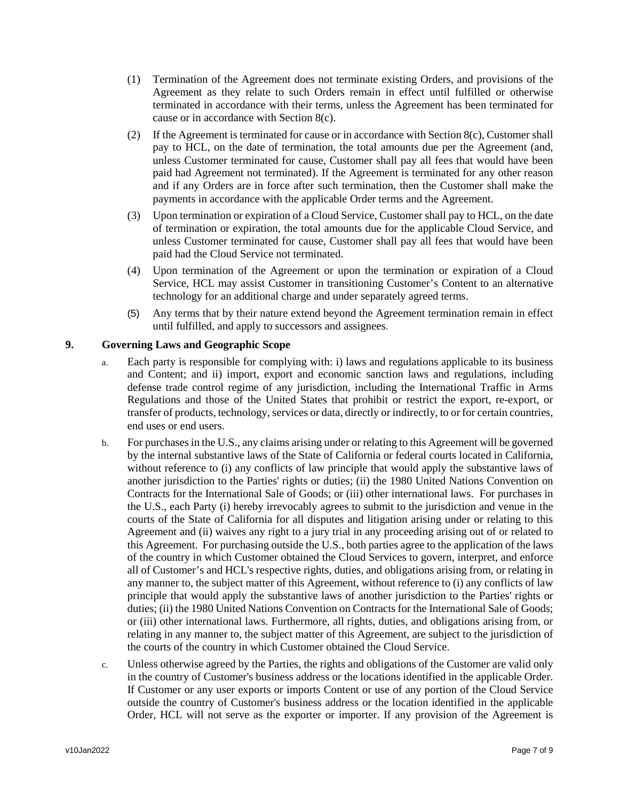- (1) Termination of the Agreement does not terminate existing Orders, and provisions of the Agreement as they relate to such Orders remain in effect until fulfilled or otherwise terminated in accordance with their terms, unless the Agreement has been terminated for cause or in accordance with Section 8(c).
- (2) If the Agreement is terminated for cause or in accordance with Section 8(c), Customer shall pay to HCL, on the date of termination, the total amounts due per the Agreement (and, unless Customer terminated for cause, Customer shall pay all fees that would have been paid had Agreement not terminated). If the Agreement is terminated for any other reason and if any Orders are in force after such termination, then the Customer shall make the payments in accordance with the applicable Order terms and the Agreement.
- (3) Upon termination or expiration of a Cloud Service, Customer shall pay to HCL, on the date of termination or expiration, the total amounts due for the applicable Cloud Service, and unless Customer terminated for cause, Customer shall pay all fees that would have been paid had the Cloud Service not terminated.
- (4) Upon termination of the Agreement or upon the termination or expiration of a Cloud Service, HCL may assist Customer in transitioning Customer's Content to an alternative technology for an additional charge and under separately agreed terms.
- (5) Any terms that by their nature extend beyond the Agreement termination remain in effect until fulfilled, and apply to successors and assignees.

# **9. Governing Laws and Geographic Scope**

- a. Each party is responsible for complying with: i) laws and regulations applicable to its business and Content; and ii) import, export and economic sanction laws and regulations, including defense trade control regime of any jurisdiction, including the International Traffic in Arms Regulations and those of the United States that prohibit or restrict the export, re-export, or transfer of products, technology, services or data, directly or indirectly, to or for certain countries, end uses or end users.
- b. For purchases in the U.S., any claims arising under or relating to this Agreement will be governed by the internal substantive laws of the State of California or federal courts located in California, without reference to (i) any conflicts of law principle that would apply the substantive laws of another jurisdiction to the Parties' rights or duties; (ii) the 1980 United Nations Convention on Contracts for the International Sale of Goods; or (iii) other international laws. For purchases in the U.S., each Party (i) hereby irrevocably agrees to submit to the jurisdiction and venue in the courts of the State of California for all disputes and litigation arising under or relating to this Agreement and (ii) waives any right to a jury trial in any proceeding arising out of or related to this Agreement. For purchasing outside the U.S., both parties agree to the application of the laws of the country in which Customer obtained the Cloud Services to govern, interpret, and enforce all of Customer's and HCL's respective rights, duties, and obligations arising from, or relating in any manner to, the subject matter of this Agreement, without reference to (i) any conflicts of law principle that would apply the substantive laws of another jurisdiction to the Parties' rights or duties; (ii) the 1980 United Nations Convention on Contracts for the International Sale of Goods; or (iii) other international laws. Furthermore, all rights, duties, and obligations arising from, or relating in any manner to, the subject matter of this Agreement, are subject to the jurisdiction of the courts of the country in which Customer obtained the Cloud Service.
- c. Unless otherwise agreed by the Parties, the rights and obligations of the Customer are valid only in the country of Customer's business address or the locations identified in the applicable Order. If Customer or any user exports or imports Content or use of any portion of the Cloud Service outside the country of Customer's business address or the location identified in the applicable Order, HCL will not serve as the exporter or importer. If any provision of the Agreement is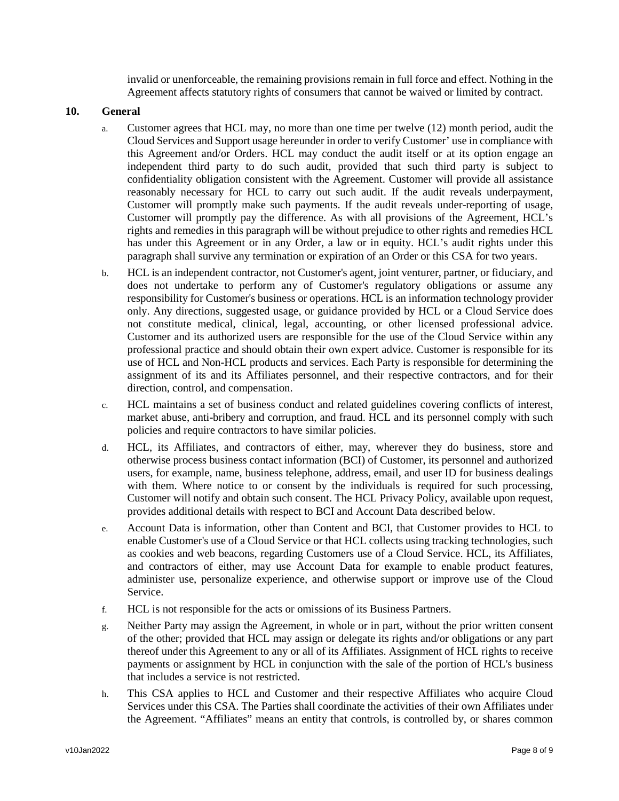invalid or unenforceable, the remaining provisions remain in full force and effect. Nothing in the Agreement affects statutory rights of consumers that cannot be waived or limited by contract.

### **10. General**

- a. Customer agrees that HCL may, no more than one time per twelve (12) month period, audit the Cloud Services and Support usage hereunder in order to verify Customer' use in compliance with this Agreement and/or Orders. HCL may conduct the audit itself or at its option engage an independent third party to do such audit, provided that such third party is subject to confidentiality obligation consistent with the Agreement. Customer will provide all assistance reasonably necessary for HCL to carry out such audit. If the audit reveals underpayment, Customer will promptly make such payments. If the audit reveals under-reporting of usage, Customer will promptly pay the difference. As with all provisions of the Agreement, HCL's rights and remedies in this paragraph will be without prejudice to other rights and remedies HCL has under this Agreement or in any Order, a law or in equity. HCL's audit rights under this paragraph shall survive any termination or expiration of an Order or this CSA for two years.
- b. HCL is an independent contractor, not Customer's agent, joint venturer, partner, or fiduciary, and does not undertake to perform any of Customer's regulatory obligations or assume any responsibility for Customer's business or operations. HCL is an information technology provider only. Any directions, suggested usage, or guidance provided by HCL or a Cloud Service does not constitute medical, clinical, legal, accounting, or other licensed professional advice. Customer and its authorized users are responsible for the use of the Cloud Service within any professional practice and should obtain their own expert advice. Customer is responsible for its use of HCL and Non-HCL products and services. Each Party is responsible for determining the assignment of its and its Affiliates personnel, and their respective contractors, and for their direction, control, and compensation.
- c. HCL maintains a set of business conduct and related guidelines covering conflicts of interest, market abuse, anti-bribery and corruption, and fraud. HCL and its personnel comply with such policies and require contractors to have similar policies.
- d. HCL, its Affiliates, and contractors of either, may, wherever they do business, store and otherwise process business contact information (BCI) of Customer, its personnel and authorized users, for example, name, business telephone, address, email, and user ID for business dealings with them. Where notice to or consent by the individuals is required for such processing, Customer will notify and obtain such consent. The HCL Privacy Policy, available upon request, provides additional details with respect to BCI and Account Data described below.
- e. Account Data is information, other than Content and BCI, that Customer provides to HCL to enable Customer's use of a Cloud Service or that HCL collects using tracking technologies, such as cookies and web beacons, regarding Customers use of a Cloud Service. HCL, its Affiliates, and contractors of either, may use Account Data for example to enable product features, administer use, personalize experience, and otherwise support or improve use of the Cloud Service.
- f. HCL is not responsible for the acts or omissions of its Business Partners.
- g. Neither Party may assign the Agreement, in whole or in part, without the prior written consent of the other; provided that HCL may assign or delegate its rights and/or obligations or any part thereof under this Agreement to any or all of its Affiliates. Assignment of HCL rights to receive payments or assignment by HCL in conjunction with the sale of the portion of HCL's business that includes a service is not restricted.
- h. This CSA applies to HCL and Customer and their respective Affiliates who acquire Cloud Services under this CSA. The Parties shall coordinate the activities of their own Affiliates under the Agreement. "Affiliates" means an entity that controls, is controlled by, or shares common